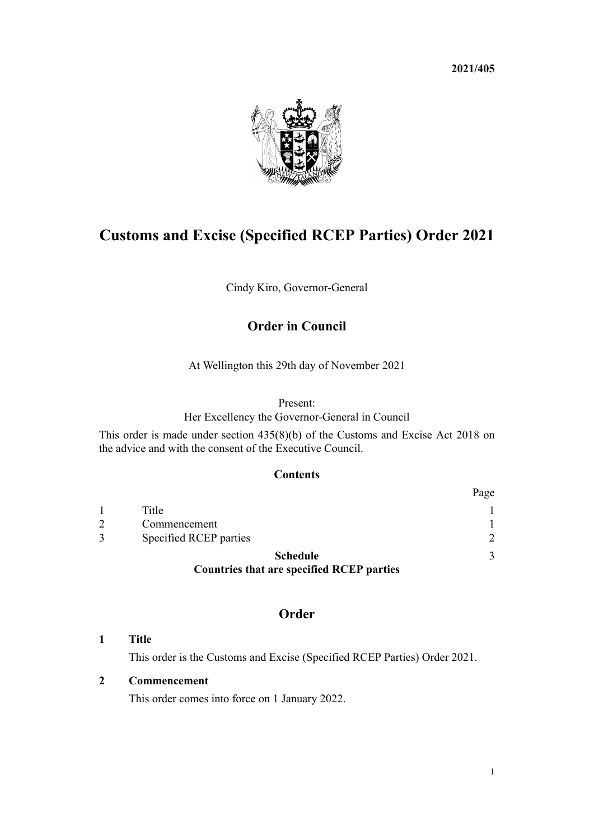**2021/405**



# **Customs and Excise (Specified RCEP Parties) Order 2021**

Cindy Kiro, Governor-General

## **Order in Council**

At Wellington this 29th day of November 2021

#### Present:

Her Excellency the Governor-General in Council

This order is made under [section 435\(8\)\(b\)](http://legislation.govt.nz/pdflink.aspx?id=DLM7039939) of the Customs and Excise Act 2018 on the advice and with the consent of the Executive Council.

#### **Contents**

|                                                  | Page          |
|--------------------------------------------------|---------------|
| Title                                            |               |
| Commencement                                     |               |
| Specified RCEP parties                           | $\mathcal{D}$ |
| <b>Schedule</b>                                  | 3             |
| <b>Countries that are specified RCEP parties</b> |               |

## **Order**

**1 Title**

This order is the Customs and Excise (Specified RCEP Parties) Order 2021.

#### **2 Commencement**

This order comes into force on 1 January 2022.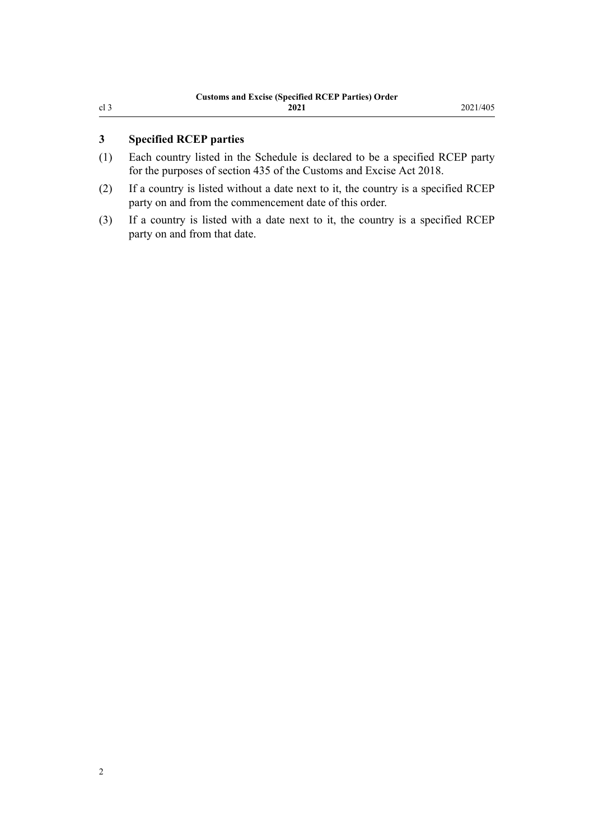### <span id="page-1-0"></span>**3 Specified RCEP parties**

- (1) Each country listed in the [Schedule](#page-2-0) is declared to be a specified RCEP party for the purposes of [section 435](http://legislation.govt.nz/pdflink.aspx?id=DLM7039939) of the Customs and Excise Act 2018.
- (2) If a country is listed without a date next to it, the country is a specified RCEP party on and from the commencement date of this order.
- (3) If a country is listed with a date next to it, the country is a specified RCEP party on and from that date.